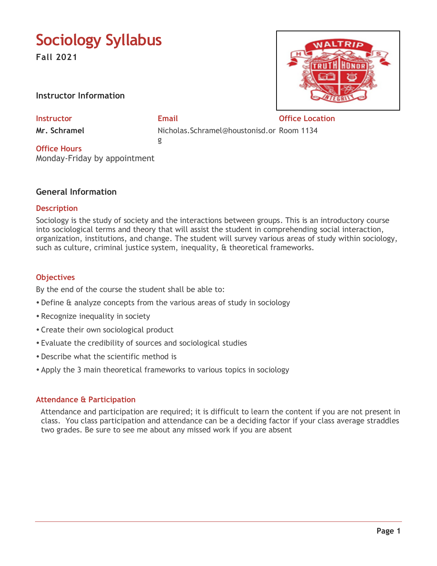# **Sociology Syllabus**

**Fall 2021**

**Instructor Information**

**Mr. Schramel** 

**Instructor Email Office Location**

Nicholas.Schramel@houstonisd.or Room 1134 g

**Office Hours** Monday-Friday by appointment

# **General Information**

## **Description**

Sociology is the study of society and the interactions between groups. This is an introductory course into sociological terms and theory that will assist the student in comprehending social interaction, organization, institutions, and change. The student will survey various areas of study within sociology, such as culture, criminal justice system, inequality, & theoretical frameworks.

# **Objectives**

By the end of the course the student shall be able to:

- Define & analyze concepts from the various areas of study in sociology
- Recognize inequality in society
- Create their own sociological product
- Evaluate the credibility of sources and sociological studies
- Describe what the scientific method is
- Apply the 3 main theoretical frameworks to various topics in sociology

# **Attendance & Participation**

 Attendance and participation are required; it is difficult to learn the content if you are not present in class. You class participation and attendance can be a deciding factor if your class average straddles two grades. Be sure to see me about any missed work if you are absent

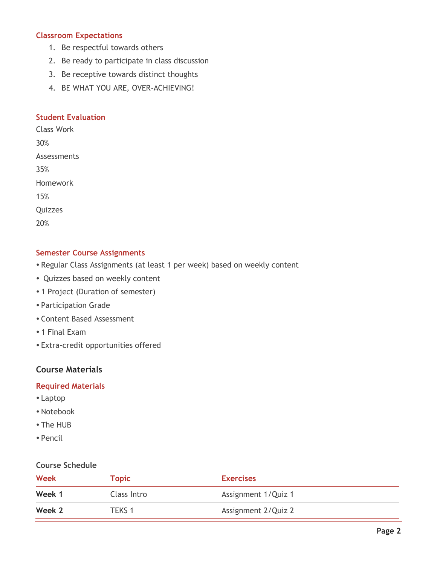## **Classroom Expectations**

- 1. Be respectful towards others
- 2. Be ready to participate in class discussion
- 3. Be receptive towards distinct thoughts
- 4. BE WHAT YOU ARE, OVER-ACHIEVING!

#### **Student Evaluation**

Class Work 30% Assessments 35% Homework 15% **Quizzes** 

20%

## **Semester Course Assignments**

- Regular Class Assignments (at least 1 per week) based on weekly content
- Quizzes based on weekly content
- 1 Project (Duration of semester)
- Participation Grade
- Content Based Assessment
- 1 Final Exam
- Extra-credit opportunities offered

## **Course Materials**

#### **Required Materials**

- Laptop
- Notebook
- The HUB
- Pencil

#### **Course Schedule**

| <b>Week</b> | Topic       | <b>Exercises</b>    |
|-------------|-------------|---------------------|
| Week 1      | Class Intro | Assignment 1/Quiz 1 |
| Week 2      | TEKS 1      | Assignment 2/Quiz 2 |